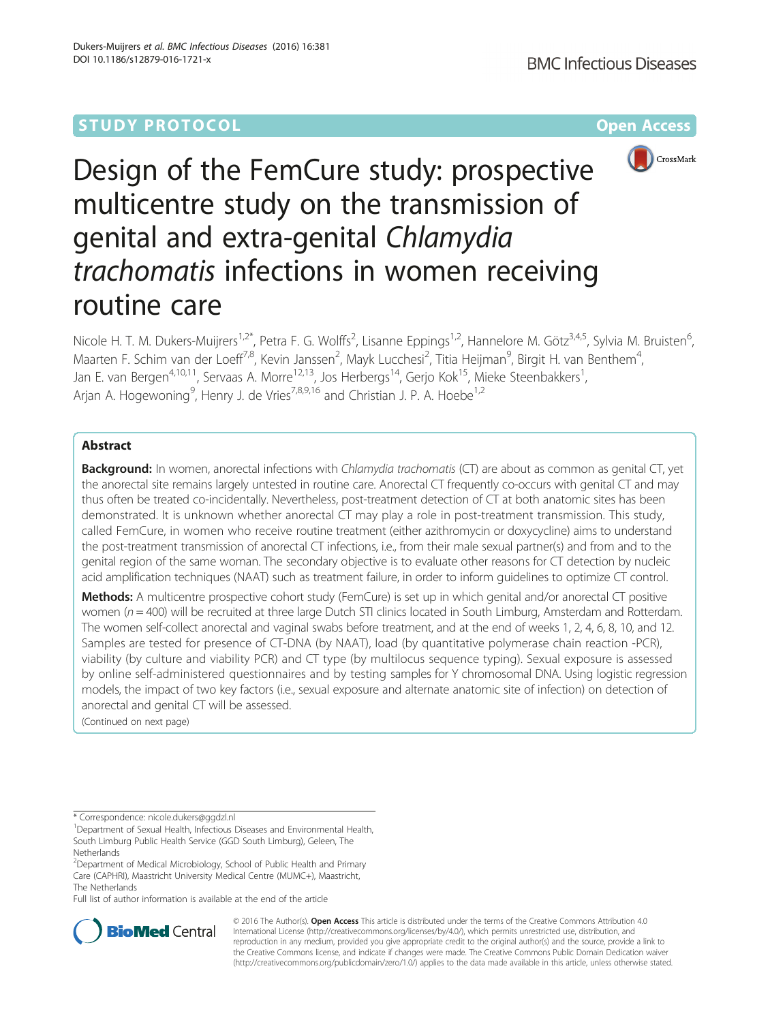## **STUDY PROTOCOL CONSUMING THE RESERVE ACCESS**



# Design of the FemCure study: prospective multicentre study on the transmission of genital and extra-genital Chlamydia trachomatis infections in women receiving routine care

Nicole H. T. M. Dukers-Muijrers<sup>1,2\*</sup>, Petra F. G. Wolffs<sup>2</sup>, Lisanne Eppings<sup>1,2</sup>, Hannelore M. Götz<sup>3,4,5</sup>, Sylvia M. Bruisten<sup>6</sup> י<br>, Maarten F. Schim van der Loeff<sup>7,8</sup>, Kevin Janssen<sup>2</sup>, Mayk Lucchesi<sup>2</sup>, Titia Heijman<sup>9</sup>, Birgit H. van Benthem<sup>4</sup> , Jan E. van Bergen<sup>4,10,11</sup>, Servaas A. Morre<sup>12,13</sup>, Jos Herbergs<sup>14</sup>, Gerjo Kok<sup>15</sup>, Mieke Steenbakkers<sup>1</sup>, , Arjan A. Hogewoning<sup>9</sup>, Henry J. de Vries<sup>7,8,9,16</sup> and Christian J. P. A. Hoebe<sup>1,2</sup>

## Abstract

**Background:** In women, anorectal infections with Chlamydia trachomatis (CT) are about as common as genital CT, yet the anorectal site remains largely untested in routine care. Anorectal CT frequently co-occurs with genital CT and may thus often be treated co-incidentally. Nevertheless, post-treatment detection of CT at both anatomic sites has been demonstrated. It is unknown whether anorectal CT may play a role in post-treatment transmission. This study, called FemCure, in women who receive routine treatment (either azithromycin or doxycycline) aims to understand the post-treatment transmission of anorectal CT infections, i.e., from their male sexual partner(s) and from and to the genital region of the same woman. The secondary objective is to evaluate other reasons for CT detection by nucleic acid amplification techniques (NAAT) such as treatment failure, in order to inform guidelines to optimize CT control.

Methods: A multicentre prospective cohort study (FemCure) is set up in which genital and/or anorectal CT positive women ( $n = 400$ ) will be recruited at three large Dutch STI clinics located in South Limburg, Amsterdam and Rotterdam. The women self-collect anorectal and vaginal swabs before treatment, and at the end of weeks 1, 2, 4, 6, 8, 10, and 12. Samples are tested for presence of CT-DNA (by NAAT), load (by quantitative polymerase chain reaction -PCR), viability (by culture and viability PCR) and CT type (by multilocus sequence typing). Sexual exposure is assessed by online self-administered questionnaires and by testing samples for Y chromosomal DNA. Using logistic regression models, the impact of two key factors (i.e., sexual exposure and alternate anatomic site of infection) on detection of anorectal and genital CT will be assessed.

(Continued on next page)

\* Correspondence: [nicole.dukers@ggdzl.nl](mailto:nicole.dukers@ggdzl.nl) <sup>1</sup>

Full list of author information is available at the end of the article



© 2016 The Author(s). Open Access This article is distributed under the terms of the Creative Commons Attribution 4.0 International License [\(http://creativecommons.org/licenses/by/4.0/](http://creativecommons.org/licenses/by/4.0/)), which permits unrestricted use, distribution, and reproduction in any medium, provided you give appropriate credit to the original author(s) and the source, provide a link to the Creative Commons license, and indicate if changes were made. The Creative Commons Public Domain Dedication waiver [\(http://creativecommons.org/publicdomain/zero/1.0/](http://creativecommons.org/publicdomain/zero/1.0/)) applies to the data made available in this article, unless otherwise stated.

<sup>&</sup>lt;sup>1</sup>Department of Sexual Health, Infectious Diseases and Environmental Health, South Limburg Public Health Service (GGD South Limburg), Geleen, The Netherlands

<sup>&</sup>lt;sup>2</sup>Department of Medical Microbiology, School of Public Health and Primary Care (CAPHRI), Maastricht University Medical Centre (MUMC+), Maastricht, The Netherlands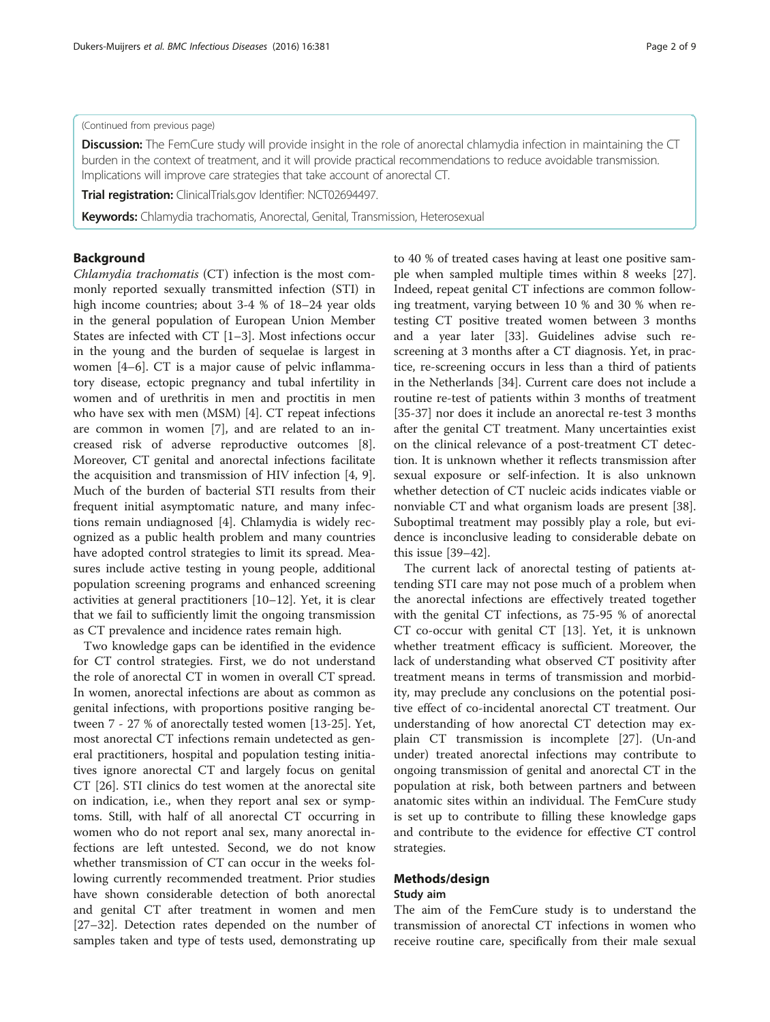#### (Continued from previous page)

Discussion: The FemCure study will provide insight in the role of anorectal chlamydia infection in maintaining the CT burden in the context of treatment, and it will provide practical recommendations to reduce avoidable transmission. Implications will improve care strategies that take account of anorectal CT.

Trial registration: ClinicalTrials.gov Identifier: [NCT02694497.](https://clinicaltrials.gov/ct2/show/NCT02694497?term=nct02694497&rank=1)

Keywords: Chlamydia trachomatis, Anorectal, Genital, Transmission, Heterosexual

## Background

Chlamydia trachomatis (CT) infection is the most commonly reported sexually transmitted infection (STI) in high income countries; about 3-4 % of 18–24 year olds in the general population of European Union Member States are infected with CT [\[1](#page-6-0)–[3\]](#page-6-0). Most infections occur in the young and the burden of sequelae is largest in women [[4](#page-7-0)–[6\]](#page-7-0). CT is a major cause of pelvic inflammatory disease, ectopic pregnancy and tubal infertility in women and of urethritis in men and proctitis in men who have sex with men (MSM) [[4\]](#page-7-0). CT repeat infections are common in women [\[7](#page-7-0)], and are related to an increased risk of adverse reproductive outcomes [\[8](#page-7-0)]. Moreover, CT genital and anorectal infections facilitate the acquisition and transmission of HIV infection [[4, 9](#page-7-0)]. Much of the burden of bacterial STI results from their frequent initial asymptomatic nature, and many infections remain undiagnosed [\[4](#page-7-0)]. Chlamydia is widely recognized as a public health problem and many countries have adopted control strategies to limit its spread. Measures include active testing in young people, additional population screening programs and enhanced screening activities at general practitioners [\[10](#page-7-0)–[12\]](#page-7-0). Yet, it is clear that we fail to sufficiently limit the ongoing transmission as CT prevalence and incidence rates remain high.

Two knowledge gaps can be identified in the evidence for CT control strategies. First, we do not understand the role of anorectal CT in women in overall CT spread. In women, anorectal infections are about as common as genital infections, with proportions positive ranging between 7 - 27 % of anorectally tested women [\[13-25](#page-7-0)]. Yet, most anorectal CT infections remain undetected as general practitioners, hospital and population testing initiatives ignore anorectal CT and largely focus on genital CT [[26\]](#page-7-0). STI clinics do test women at the anorectal site on indication, i.e., when they report anal sex or symptoms. Still, with half of all anorectal CT occurring in women who do not report anal sex, many anorectal infections are left untested. Second, we do not know whether transmission of CT can occur in the weeks following currently recommended treatment. Prior studies have shown considerable detection of both anorectal and genital CT after treatment in women and men [[27](#page-7-0)–[32](#page-7-0)]. Detection rates depended on the number of samples taken and type of tests used, demonstrating up to 40 % of treated cases having at least one positive sample when sampled multiple times within 8 weeks [\[27](#page-7-0)]. Indeed, repeat genital CT infections are common following treatment, varying between 10 % and 30 % when retesting CT positive treated women between 3 months and a year later [[33](#page-7-0)]. Guidelines advise such rescreening at 3 months after a CT diagnosis. Yet, in practice, re-screening occurs in less than a third of patients in the Netherlands [\[34](#page-7-0)]. Current care does not include a routine re-test of patients within 3 months of treatment [[35-37](#page-7-0)] nor does it include an anorectal re-test 3 months after the genital CT treatment. Many uncertainties exist on the clinical relevance of a post-treatment CT detection. It is unknown whether it reflects transmission after sexual exposure or self-infection. It is also unknown whether detection of CT nucleic acids indicates viable or nonviable CT and what organism loads are present [\[38](#page-7-0)]. Suboptimal treatment may possibly play a role, but evidence is inconclusive leading to considerable debate on this issue [\[39](#page-7-0)–[42\]](#page-8-0).

The current lack of anorectal testing of patients attending STI care may not pose much of a problem when the anorectal infections are effectively treated together with the genital CT infections, as 75-95 % of anorectal CT co-occur with genital CT [\[13](#page-7-0)]. Yet, it is unknown whether treatment efficacy is sufficient. Moreover, the lack of understanding what observed CT positivity after treatment means in terms of transmission and morbidity, may preclude any conclusions on the potential positive effect of co-incidental anorectal CT treatment. Our understanding of how anorectal CT detection may explain CT transmission is incomplete [[27\]](#page-7-0). (Un-and under) treated anorectal infections may contribute to ongoing transmission of genital and anorectal CT in the population at risk, both between partners and between anatomic sites within an individual. The FemCure study is set up to contribute to filling these knowledge gaps and contribute to the evidence for effective CT control strategies.

## Methods/design

#### Study aim

The aim of the FemCure study is to understand the transmission of anorectal CT infections in women who receive routine care, specifically from their male sexual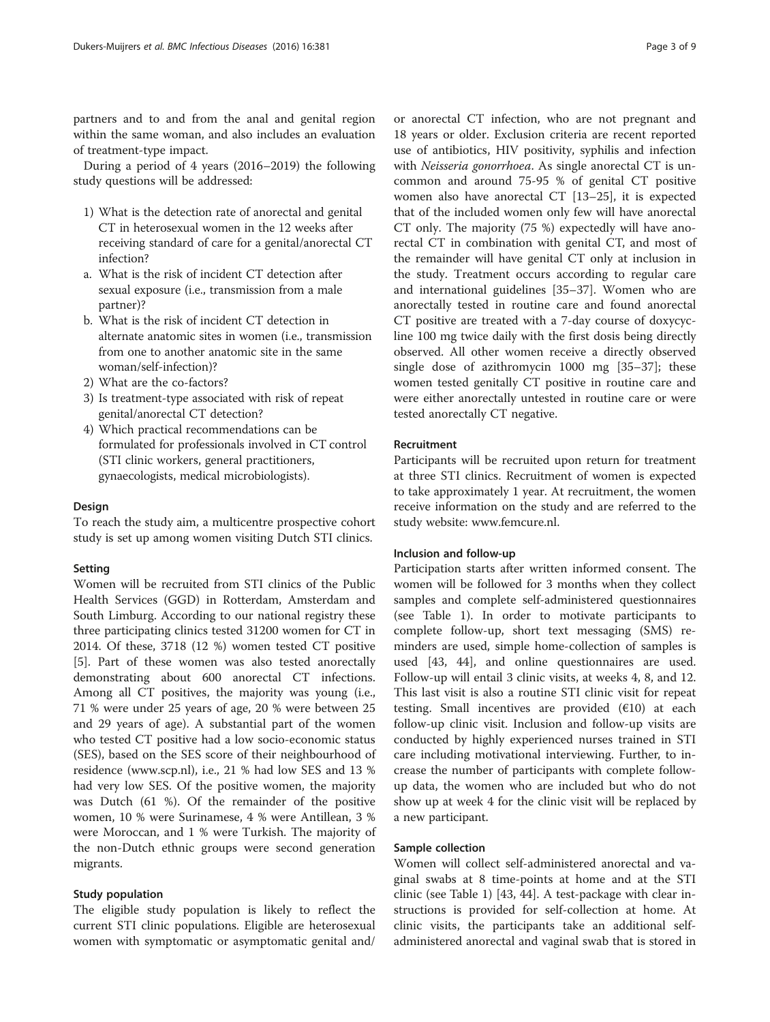partners and to and from the anal and genital region within the same woman, and also includes an evaluation of treatment-type impact.

During a period of 4 years (2016–2019) the following study questions will be addressed:

- 1) What is the detection rate of anorectal and genital CT in heterosexual women in the 12 weeks after receiving standard of care for a genital/anorectal CT infection?
- a. What is the risk of incident CT detection after sexual exposure (i.e., transmission from a male partner)?
- b. What is the risk of incident CT detection in alternate anatomic sites in women (i.e., transmission from one to another anatomic site in the same woman/self-infection)?
- 2) What are the co-factors?
- 3) Is treatment-type associated with risk of repeat genital/anorectal CT detection?
- 4) Which practical recommendations can be formulated for professionals involved in CT control (STI clinic workers, general practitioners, gynaecologists, medical microbiologists).

#### Design

To reach the study aim, a multicentre prospective cohort study is set up among women visiting Dutch STI clinics.

#### Setting

Women will be recruited from STI clinics of the Public Health Services (GGD) in Rotterdam, Amsterdam and South Limburg. According to our national registry these three participating clinics tested 31200 women for CT in 2014. Of these, 3718 (12 %) women tested CT positive [[5\]](#page-7-0). Part of these women was also tested anorectally demonstrating about 600 anorectal CT infections. Among all CT positives, the majority was young (i.e., 71 % were under 25 years of age, 20 % were between 25 and 29 years of age). A substantial part of the women who tested CT positive had a low socio-economic status (SES), based on the SES score of their neighbourhood of residence ([www.scp.nl\)](http://www.scp.nl), i.e., 21 % had low SES and 13 % had very low SES. Of the positive women, the majority was Dutch (61 %). Of the remainder of the positive women, 10 % were Surinamese, 4 % were Antillean, 3 % were Moroccan, and 1 % were Turkish. The majority of the non-Dutch ethnic groups were second generation migrants.

## Study population

The eligible study population is likely to reflect the current STI clinic populations. Eligible are heterosexual women with symptomatic or asymptomatic genital and/

or anorectal CT infection, who are not pregnant and 18 years or older. Exclusion criteria are recent reported use of antibiotics, HIV positivity, syphilis and infection with *Neisseria gonorrhoea*. As single anorectal CT is uncommon and around 75-95 % of genital CT positive women also have anorectal CT [[13](#page-7-0)–[25](#page-7-0)], it is expected that of the included women only few will have anorectal CT only. The majority (75 %) expectedly will have anorectal CT in combination with genital CT, and most of the remainder will have genital CT only at inclusion in the study. Treatment occurs according to regular care and international guidelines [\[35](#page-7-0)–[37](#page-7-0)]. Women who are anorectally tested in routine care and found anorectal CT positive are treated with a 7-day course of doxycycline 100 mg twice daily with the first dosis being directly observed. All other women receive a directly observed single dose of azithromycin 1000 mg [[35](#page-7-0)–[37](#page-7-0)]; these women tested genitally CT positive in routine care and were either anorectally untested in routine care or were tested anorectally CT negative.

#### Recruitment

Participants will be recruited upon return for treatment at three STI clinics. Recruitment of women is expected to take approximately 1 year. At recruitment, the women receive information on the study and are referred to the study website: [www.femcure.nl.](http://www.femcure.nl)

#### Inclusion and follow-up

Participation starts after written informed consent. The women will be followed for 3 months when they collect samples and complete self-administered questionnaires (see Table [1\)](#page-3-0). In order to motivate participants to complete follow-up, short text messaging (SMS) reminders are used, simple home-collection of samples is used [\[43, 44](#page-8-0)], and online questionnaires are used. Follow-up will entail 3 clinic visits, at weeks 4, 8, and 12. This last visit is also a routine STI clinic visit for repeat testing. Small incentives are provided  $(E10)$  at each follow-up clinic visit. Inclusion and follow-up visits are conducted by highly experienced nurses trained in STI care including motivational interviewing. Further, to increase the number of participants with complete followup data, the women who are included but who do not show up at week 4 for the clinic visit will be replaced by a new participant.

#### Sample collection

Women will collect self-administered anorectal and vaginal swabs at 8 time-points at home and at the STI clinic (see Table [1\)](#page-3-0) [\[43](#page-8-0), [44](#page-8-0)]. A test-package with clear instructions is provided for self-collection at home. At clinic visits, the participants take an additional selfadministered anorectal and vaginal swab that is stored in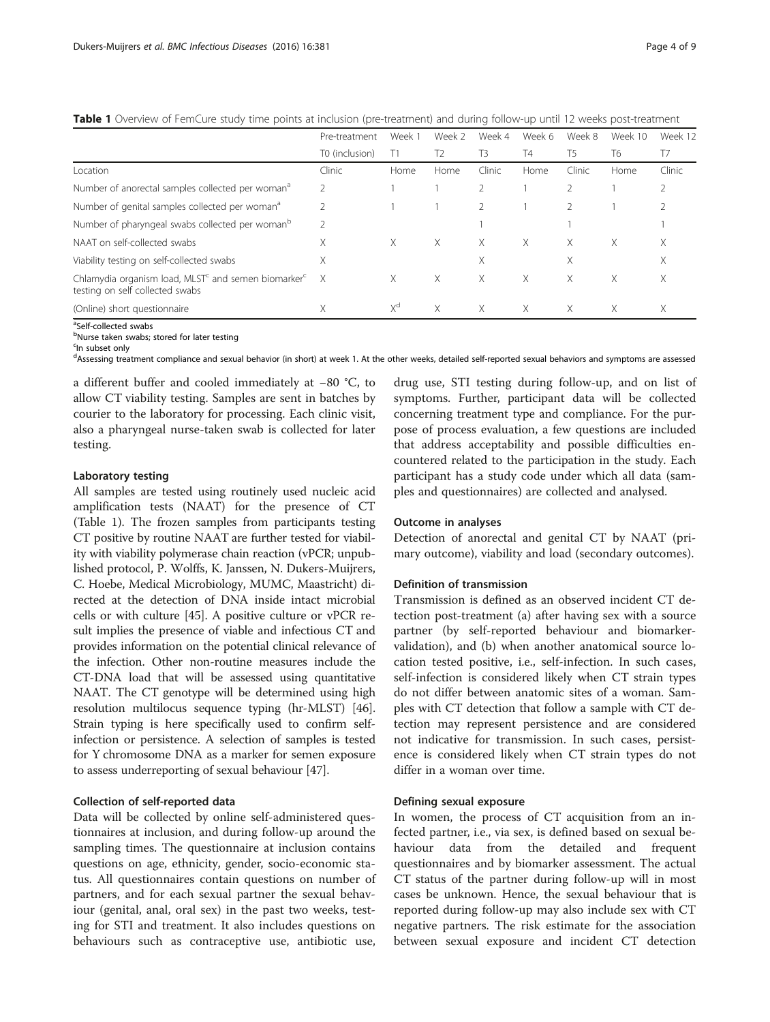|                                                                                                                  | Pre-treatment<br>T0 (inclusion) | Week 1<br>Τ1 | Week 2<br>T2 | Week 4<br>T3 | Week 6<br><b>T4</b> | Week 8<br>T <sub>5</sub> | Week 10<br>T6 | Week 12<br>T7 |
|------------------------------------------------------------------------------------------------------------------|---------------------------------|--------------|--------------|--------------|---------------------|--------------------------|---------------|---------------|
|                                                                                                                  |                                 |              |              |              |                     |                          |               |               |
| Location                                                                                                         | Clinic                          | Home         | Home         | Clinic       | Home                | Clinic                   | Home          | Clinic        |
| Number of anorectal samples collected per woman <sup>a</sup>                                                     |                                 |              |              |              |                     | 2                        |               |               |
| Number of genital samples collected per woman <sup>a</sup>                                                       |                                 |              |              |              |                     |                          |               |               |
| Number of pharyngeal swabs collected per woman <sup>b</sup>                                                      |                                 |              |              |              |                     |                          |               |               |
| NAAT on self-collected swabs                                                                                     | Χ                               | X            | X            | X.           | X                   | X                        | X             | X             |
| Viability testing on self-collected swabs                                                                        | Χ                               |              |              | Χ            |                     | X                        |               | Χ             |
| Chlamydia organism load, MLST <sup>c</sup> and semen biomarker <sup>c</sup> X<br>testing on self collected swabs |                                 | Χ            | Χ            | X.           | X                   | X                        | X             | Х             |
| (Online) short questionnaire                                                                                     | Χ                               | $X^d$        | Χ            | X.           | X                   | X                        | Χ             | X             |

<span id="page-3-0"></span>Table 1 Overview of FemCure study time points at inclusion (pre-treatment) and during follow-up until 12 weeks post-treatment

a Self-collected swabs

<sup>b</sup>Nurse taken swabs; stored for later testing

<sup>c</sup>In subset only

<sup>d</sup>Assessing treatment compliance and sexual behavior (in short) at week 1. At the other weeks, detailed self-reported sexual behaviors and symptoms are assessed

a different buffer and cooled immediately at −80 °C, to allow CT viability testing. Samples are sent in batches by courier to the laboratory for processing. Each clinic visit, also a pharyngeal nurse-taken swab is collected for later testing.

#### Laboratory testing

All samples are tested using routinely used nucleic acid amplification tests (NAAT) for the presence of CT (Table 1). The frozen samples from participants testing CT positive by routine NAAT are further tested for viability with viability polymerase chain reaction (vPCR; unpublished protocol, P. Wolffs, K. Janssen, N. Dukers-Muijrers, C. Hoebe, Medical Microbiology, MUMC, Maastricht) directed at the detection of DNA inside intact microbial cells or with culture [[45](#page-8-0)]. A positive culture or vPCR result implies the presence of viable and infectious CT and provides information on the potential clinical relevance of the infection. Other non-routine measures include the CT-DNA load that will be assessed using quantitative NAAT. The CT genotype will be determined using high resolution multilocus sequence typing (hr-MLST) [[46](#page-8-0)]. Strain typing is here specifically used to confirm selfinfection or persistence. A selection of samples is tested for Y chromosome DNA as a marker for semen exposure to assess underreporting of sexual behaviour [\[47\]](#page-8-0).

## Collection of self-reported data

Data will be collected by online self-administered questionnaires at inclusion, and during follow-up around the sampling times. The questionnaire at inclusion contains questions on age, ethnicity, gender, socio-economic status. All questionnaires contain questions on number of partners, and for each sexual partner the sexual behaviour (genital, anal, oral sex) in the past two weeks, testing for STI and treatment. It also includes questions on behaviours such as contraceptive use, antibiotic use,

drug use, STI testing during follow-up, and on list of symptoms. Further, participant data will be collected concerning treatment type and compliance. For the purpose of process evaluation, a few questions are included that address acceptability and possible difficulties encountered related to the participation in the study. Each participant has a study code under which all data (samples and questionnaires) are collected and analysed.

#### Outcome in analyses

Detection of anorectal and genital CT by NAAT (primary outcome), viability and load (secondary outcomes).

## Definition of transmission

Transmission is defined as an observed incident CT detection post-treatment (a) after having sex with a source partner (by self-reported behaviour and biomarkervalidation), and (b) when another anatomical source location tested positive, i.e., self-infection. In such cases, self-infection is considered likely when CT strain types do not differ between anatomic sites of a woman. Samples with CT detection that follow a sample with CT detection may represent persistence and are considered not indicative for transmission. In such cases, persistence is considered likely when CT strain types do not differ in a woman over time.

#### Defining sexual exposure

In women, the process of CT acquisition from an infected partner, i.e., via sex, is defined based on sexual behaviour data from the detailed and frequent questionnaires and by biomarker assessment. The actual CT status of the partner during follow-up will in most cases be unknown. Hence, the sexual behaviour that is reported during follow-up may also include sex with CT negative partners. The risk estimate for the association between sexual exposure and incident CT detection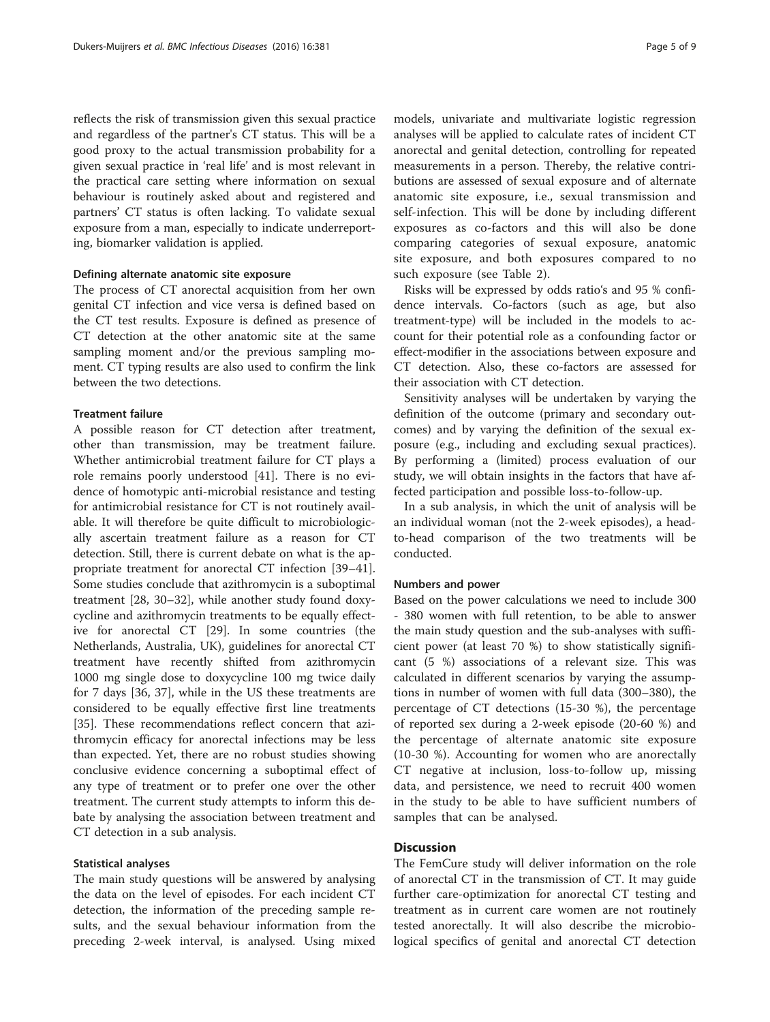reflects the risk of transmission given this sexual practice and regardless of the partner's CT status. This will be a good proxy to the actual transmission probability for a given sexual practice in 'real life' and is most relevant in the practical care setting where information on sexual behaviour is routinely asked about and registered and partners' CT status is often lacking. To validate sexual exposure from a man, especially to indicate underreporting, biomarker validation is applied.

#### Defining alternate anatomic site exposure

The process of CT anorectal acquisition from her own genital CT infection and vice versa is defined based on the CT test results. Exposure is defined as presence of CT detection at the other anatomic site at the same sampling moment and/or the previous sampling moment. CT typing results are also used to confirm the link between the two detections.

## Treatment failure

A possible reason for CT detection after treatment, other than transmission, may be treatment failure. Whether antimicrobial treatment failure for CT plays a role remains poorly understood [[41\]](#page-8-0). There is no evidence of homotypic anti-microbial resistance and testing for antimicrobial resistance for CT is not routinely available. It will therefore be quite difficult to microbiologically ascertain treatment failure as a reason for CT detection. Still, there is current debate on what is the appropriate treatment for anorectal CT infection [[39](#page-7-0)–[41](#page-8-0)]. Some studies conclude that azithromycin is a suboptimal treatment [[28](#page-7-0), [30](#page-7-0)–[32\]](#page-7-0), while another study found doxycycline and azithromycin treatments to be equally effective for anorectal CT [[29](#page-7-0)]. In some countries (the Netherlands, Australia, UK), guidelines for anorectal CT treatment have recently shifted from azithromycin 1000 mg single dose to doxycycline 100 mg twice daily for 7 days [\[36](#page-7-0), [37](#page-7-0)], while in the US these treatments are considered to be equally effective first line treatments [[35\]](#page-7-0). These recommendations reflect concern that azithromycin efficacy for anorectal infections may be less than expected. Yet, there are no robust studies showing conclusive evidence concerning a suboptimal effect of any type of treatment or to prefer one over the other treatment. The current study attempts to inform this debate by analysing the association between treatment and CT detection in a sub analysis.

#### Statistical analyses

The main study questions will be answered by analysing the data on the level of episodes. For each incident CT detection, the information of the preceding sample results, and the sexual behaviour information from the preceding 2-week interval, is analysed. Using mixed

models, univariate and multivariate logistic regression analyses will be applied to calculate rates of incident CT anorectal and genital detection, controlling for repeated measurements in a person. Thereby, the relative contributions are assessed of sexual exposure and of alternate anatomic site exposure, i.e., sexual transmission and self-infection. This will be done by including different exposures as co-factors and this will also be done comparing categories of sexual exposure, anatomic site exposure, and both exposures compared to no such exposure (see Table [2](#page-5-0)).

Risks will be expressed by odds ratio's and 95 % confidence intervals. Co-factors (such as age, but also treatment-type) will be included in the models to account for their potential role as a confounding factor or effect-modifier in the associations between exposure and CT detection. Also, these co-factors are assessed for their association with CT detection.

Sensitivity analyses will be undertaken by varying the definition of the outcome (primary and secondary outcomes) and by varying the definition of the sexual exposure (e.g., including and excluding sexual practices). By performing a (limited) process evaluation of our study, we will obtain insights in the factors that have affected participation and possible loss-to-follow-up.

In a sub analysis, in which the unit of analysis will be an individual woman (not the 2-week episodes), a headto-head comparison of the two treatments will be conducted.

#### Numbers and power

Based on the power calculations we need to include 300 - 380 women with full retention, to be able to answer the main study question and the sub-analyses with sufficient power (at least 70 %) to show statistically significant (5 %) associations of a relevant size. This was calculated in different scenarios by varying the assumptions in number of women with full data (300–380), the percentage of CT detections (15-30 %), the percentage of reported sex during a 2-week episode (20-60 %) and the percentage of alternate anatomic site exposure (10-30 %). Accounting for women who are anorectally CT negative at inclusion, loss-to-follow up, missing data, and persistence, we need to recruit 400 women in the study to be able to have sufficient numbers of samples that can be analysed.

## **Discussion**

The FemCure study will deliver information on the role of anorectal CT in the transmission of CT. It may guide further care-optimization for anorectal CT testing and treatment as in current care women are not routinely tested anorectally. It will also describe the microbiological specifics of genital and anorectal CT detection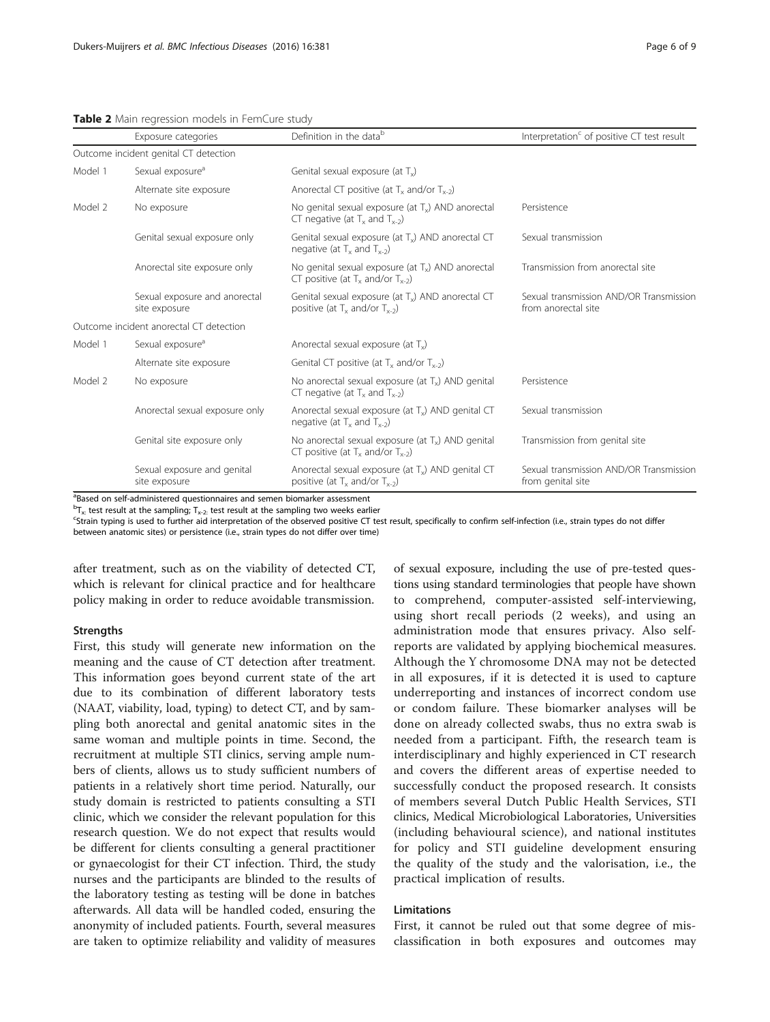<span id="page-5-0"></span>Table 2 Main regression models in FemCure study

|         | Exposure categories                            | Definition in the data <sup>b</sup>                                                                       | Interpretation <sup>c</sup> of positive CT test result         |  |  |  |
|---------|------------------------------------------------|-----------------------------------------------------------------------------------------------------------|----------------------------------------------------------------|--|--|--|
|         | Outcome incident genital CT detection          |                                                                                                           |                                                                |  |  |  |
| Model 1 | Sexual exposure <sup>a</sup>                   | Genital sexual exposure (at T <sub>v</sub> )                                                              |                                                                |  |  |  |
|         | Alternate site exposure                        | Anorectal CT positive (at $T_x$ and/or $T_{x-2}$ )                                                        |                                                                |  |  |  |
| Model 2 | No exposure                                    | No genital sexual exposure (at $T_x$ ) AND anorectal<br>CT negative (at $T_x$ and $T_{x-2}$ )             | Persistence                                                    |  |  |  |
|         | Genital sexual exposure only                   | Genital sexual exposure (at T <sub>v</sub> ) AND anorectal CT<br>negative (at $T_{x}$ and $T_{x-2}$ )     | Sexual transmission                                            |  |  |  |
|         | Anorectal site exposure only                   | No genital sexual exposure (at T <sub>v</sub> ) AND anorectal<br>CT positive (at $T_v$ and/or $T_{v-2}$ ) | Transmission from anorectal site                               |  |  |  |
|         | Sexual exposure and anorectal<br>site exposure | Genital sexual exposure (at $Tx$ ) AND anorectal CT<br>positive (at $T_x$ and/or $T_{x-2}$ )              | Sexual transmission AND/OR Transmission<br>from anorectal site |  |  |  |
|         | Outcome incident anorectal CT detection        |                                                                                                           |                                                                |  |  |  |
| Model 1 | Sexual exposure <sup>a</sup>                   | Anorectal sexual exposure (at T <sub>v</sub> )                                                            |                                                                |  |  |  |
|         | Alternate site exposure                        | Genital CT positive (at $T_x$ and/or $T_{x-2}$ )                                                          |                                                                |  |  |  |
| Model 2 | No exposure                                    | No anorectal sexual exposure (at $T_x$ ) AND genital<br>CT negative (at $T_x$ and $T_{x-2}$ )             | Persistence                                                    |  |  |  |
|         | Anorectal sexual exposure only                 | Anorectal sexual exposure (at $Tx$ ) AND genital CT<br>negative (at $T_{x}$ and $T_{x-2}$ )               | Sexual transmission                                            |  |  |  |
|         | Genital site exposure only                     | No anorectal sexual exposure (at $T_x$ ) AND genital<br>CT positive (at $T_x$ and/or $T_{x-2}$ )          | Transmission from genital site                                 |  |  |  |
|         | Sexual exposure and genital<br>site exposure   | Anorectal sexual exposure (at $T_x$ ) AND genital CT<br>positive (at $T_x$ and/or $T_{x-2}$ )             | Sexual transmission AND/OR Transmission<br>from genital site   |  |  |  |

<sup>a</sup>Based on self-administered questionnaires and semen biomarker assessment

 ${}^{b}T_{x}$ : test result at the sampling;  $T_{x-2}$ : test result at the sampling two weeks earlier contribution of the observed positive CT to

<sup>c</sup>Strain typing is used to further aid interpretation of the observed positive CT test result, specifically to confirm self-infection (i.e., strain types do not differ

between anatomic sites) or persistence (i.e., strain types do not differ over time)

after treatment, such as on the viability of detected CT, which is relevant for clinical practice and for healthcare policy making in order to reduce avoidable transmission.

#### **Strengths**

First, this study will generate new information on the meaning and the cause of CT detection after treatment. This information goes beyond current state of the art due to its combination of different laboratory tests (NAAT, viability, load, typing) to detect CT, and by sampling both anorectal and genital anatomic sites in the same woman and multiple points in time. Second, the recruitment at multiple STI clinics, serving ample numbers of clients, allows us to study sufficient numbers of patients in a relatively short time period. Naturally, our study domain is restricted to patients consulting a STI clinic, which we consider the relevant population for this research question. We do not expect that results would be different for clients consulting a general practitioner or gynaecologist for their CT infection. Third, the study nurses and the participants are blinded to the results of the laboratory testing as testing will be done in batches afterwards. All data will be handled coded, ensuring the anonymity of included patients. Fourth, several measures are taken to optimize reliability and validity of measures

of sexual exposure, including the use of pre-tested questions using standard terminologies that people have shown to comprehend, computer-assisted self-interviewing, using short recall periods (2 weeks), and using an administration mode that ensures privacy. Also selfreports are validated by applying biochemical measures. Although the Y chromosome DNA may not be detected in all exposures, if it is detected it is used to capture underreporting and instances of incorrect condom use or condom failure. These biomarker analyses will be done on already collected swabs, thus no extra swab is needed from a participant. Fifth, the research team is interdisciplinary and highly experienced in CT research and covers the different areas of expertise needed to successfully conduct the proposed research. It consists of members several Dutch Public Health Services, STI clinics, Medical Microbiological Laboratories, Universities (including behavioural science), and national institutes for policy and STI guideline development ensuring the quality of the study and the valorisation, i.e., the practical implication of results.

## Limitations

First, it cannot be ruled out that some degree of misclassification in both exposures and outcomes may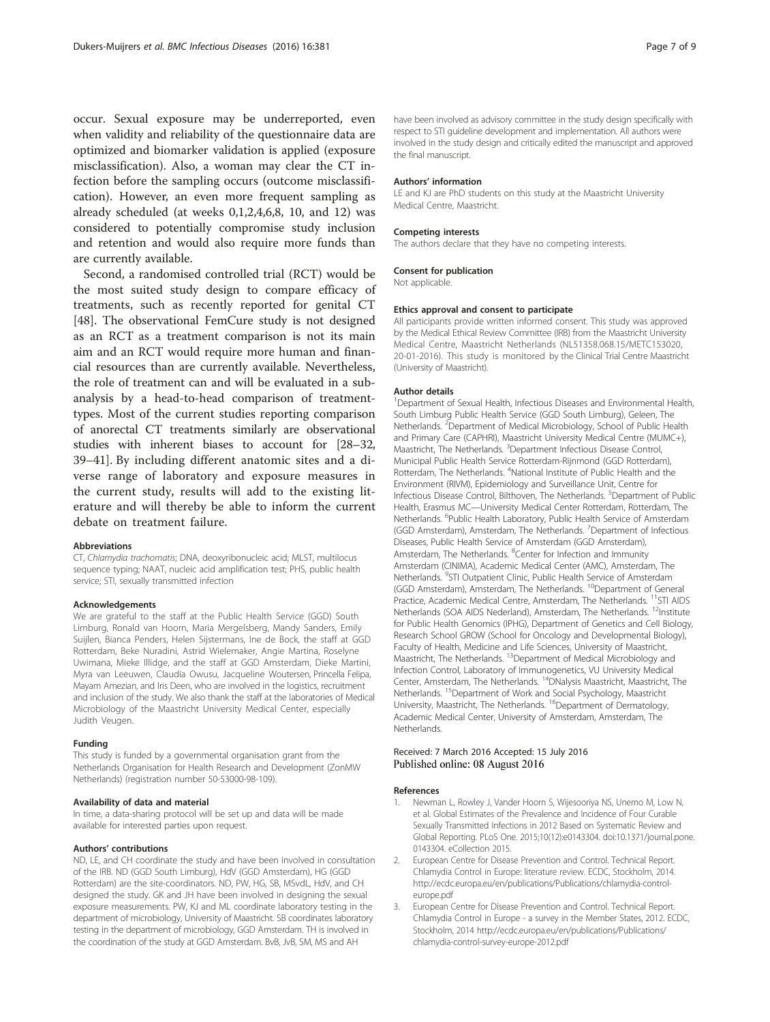<span id="page-6-0"></span>occur. Sexual exposure may be underreported, even when validity and reliability of the questionnaire data are optimized and biomarker validation is applied (exposure misclassification). Also, a woman may clear the CT infection before the sampling occurs (outcome misclassification). However, an even more frequent sampling as already scheduled (at weeks 0,1,2,4,6,8, 10, and 12) was considered to potentially compromise study inclusion and retention and would also require more funds than are currently available.

Second, a randomised controlled trial (RCT) would be the most suited study design to compare efficacy of treatments, such as recently reported for genital CT [[48\]](#page-8-0). The observational FemCure study is not designed as an RCT as a treatment comparison is not its main aim and an RCT would require more human and financial resources than are currently available. Nevertheless, the role of treatment can and will be evaluated in a subanalysis by a head-to-head comparison of treatmenttypes. Most of the current studies reporting comparison of anorectal CT treatments similarly are observational studies with inherent biases to account for [\[28](#page-7-0)–[32](#page-7-0), [39](#page-7-0)–[41\]](#page-8-0). By including different anatomic sites and a diverse range of laboratory and exposure measures in the current study, results will add to the existing literature and will thereby be able to inform the current debate on treatment failure.

#### Abbreviations

CT, Chlamydia trachomatis; DNA, deoxyribonucleic acid; MLST, multilocus sequence typing; NAAT, nucleic acid amplification test; PHS, public health service; STI, sexually transmitted infection

#### Acknowledgements

We are grateful to the staff at the Public Health Service (GGD) South Limburg, Ronald van Hoorn, Maria Mergelsberg, Mandy Sanders, Emily Suijlen, Bianca Penders, Helen Sijstermans, Ine de Bock, the staff at GGD Rotterdam, Beke Nuradini, Astrid Wielemaker, Angie Martina, Roselyne Uwimana, Mieke Illidge, and the staff at GGD Amsterdam, Dieke Martini, Myra van Leeuwen, Claudia Owusu, Jacqueline Woutersen, Princella Felipa, Mayam Amezian, and Iris Deen, who are involved in the logistics, recruitment and inclusion of the study. We also thank the staff at the laboratories of Medical Microbiology of the Maastricht University Medical Center, especially Judith Veugen.

#### Funding

This study is funded by a governmental organisation grant from the Netherlands Organisation for Health Research and Development (ZonMW Netherlands) (registration number 50-53000-98-109).

#### Availability of data and material

In time, a data-sharing protocol will be set up and data will be made available for interested parties upon request.

#### Authors' contributions

ND, LE, and CH coordinate the study and have been involved in consultation of the IRB. ND (GGD South Limburg), HdV (GGD Amsterdam), HG (GGD Rotterdam) are the site-coordinators. ND, PW, HG, SB, MSvdL, HdV, and CH designed the study. GK and JH have been involved in designing the sexual exposure measurements. PW, KJ and ML coordinate laboratory testing in the department of microbiology, University of Maastricht. SB coordinates laboratory testing in the department of microbiology, GGD Amsterdam. TH is involved in the coordination of the study at GGD Amsterdam. BvB, JvB, SM, MS and AH

have been involved as advisory committee in the study design specifically with respect to STI guideline development and implementation. All authors were involved in the study design and critically edited the manuscript and approved the final manuscript.

#### Authors' information

LE and KJ are PhD students on this study at the Maastricht University Medical Centre, Maastricht.

#### Competing interests

The authors declare that they have no competing interests.

#### Consent for publication

Not applicable.

#### Ethics approval and consent to participate

All participants provide written informed consent. This study was approved by the Medical Ethical Review Committee (IRB) from the Maastricht University Medical Centre, Maastricht Netherlands (NL51358.068.15/METC153020, 20-01-2016). This study is monitored by the Clinical Trial Centre Maastricht (University of Maastricht).

#### Author details

<sup>1</sup>Department of Sexual Health, Infectious Diseases and Environmental Health South Limburg Public Health Service (GGD South Limburg), Geleen, The Netherlands. <sup>2</sup>Department of Medical Microbiology, School of Public Health and Primary Care (CAPHRI), Maastricht University Medical Centre (MUMC+), Maastricht, The Netherlands. <sup>3</sup>Department Infectious Disease Control, Municipal Public Health Service Rotterdam-Rijnmond (GGD Rotterdam), Rotterdam, The Netherlands. <sup>4</sup>National Institute of Public Health and the Environment (RIVM), Epidemiology and Surveillance Unit, Centre for Infectious Disease Control, Bilthoven, The Netherlands. <sup>5</sup>Department of Public Health, Erasmus MC—University Medical Center Rotterdam, Rotterdam, The Netherlands. <sup>6</sup>Public Health Laboratory, Public Health Service of Amsterdam (GGD Amsterdam), Amsterdam, The Netherlands. <sup>7</sup>Department of Infectious Diseases, Public Health Service of Amsterdam (GGD Amsterdam), Amsterdam, The Netherlands. <sup>8</sup>Center for Infection and Immunity Amsterdam (CINIMA), Academic Medical Center (AMC), Amsterdam, The Netherlands. <sup>9</sup>STI Outpatient Clinic, Public Health Service of Amsterdam (GGD Amsterdam), Amsterdam, The Netherlands. <sup>10</sup>Department of General Practice, Academic Medical Centre, Amsterdam, The Netherlands. <sup>11</sup>STI AIDS Netherlands (SOA AIDS Nederland), Amsterdam, The Netherlands. <sup>12</sup>Institute for Public Health Genomics (IPHG), Department of Genetics and Cell Biology, Research School GROW (School for Oncology and Developmental Biology), Faculty of Health, Medicine and Life Sciences, University of Maastricht, Maastricht, The Netherlands. 13Department of Medical Microbiology and Infection Control, Laboratory of Immunogenetics, VU University Medical Center, Amsterdam, The Netherlands. 14DNalysis Maastricht, Maastricht, The Netherlands. 15Department of Work and Social Psychology, Maastricht University, Maastricht, The Netherlands. <sup>16</sup>Department of Dermatology, Academic Medical Center, University of Amsterdam, Amsterdam, The Netherlands.

#### Received: 7 March 2016 Accepted: 15 July 2016 Published online: 08 August 2016

#### References

- 1. Newman L, Rowley J, Vander Hoorn S, Wijesooriya NS, Unemo M, Low N, et al. Global Estimates of the Prevalence and Incidence of Four Curable Sexually Transmitted Infections in 2012 Based on Systematic Review and Global Reporting. PLoS One. 2015;10(12):e0143304. doi:[10.1371/journal.pone.](http://dx.doi.org/10.1371/journal.pone.0143304) [0143304.](http://dx.doi.org/10.1371/journal.pone.0143304) eCollection 2015.
- 2. European Centre for Disease Prevention and Control. Technical Report. Chlamydia Control in Europe: literature review. ECDC, Stockholm, 2014. [http://ecdc.europa.eu/en/publications/Publications/chlamydia-control](http://ecdc.europa.eu/en/publications/Publications/chlamydia-control-europe.pdf)[europe.pdf](http://ecdc.europa.eu/en/publications/Publications/chlamydia-control-europe.pdf)
- 3. European Centre for Disease Prevention and Control. Technical Report. Chlamydia Control in Europe - a survey in the Member States, 2012. ECDC, Stockholm, 2014 [http://ecdc.europa.eu/en/publications/Publications/](http://ecdc.europa.eu/en/publications/Publications/chlamydia-control-survey-europe-2012.pdf) [chlamydia-control-survey-europe-2012.pdf](http://ecdc.europa.eu/en/publications/Publications/chlamydia-control-survey-europe-2012.pdf)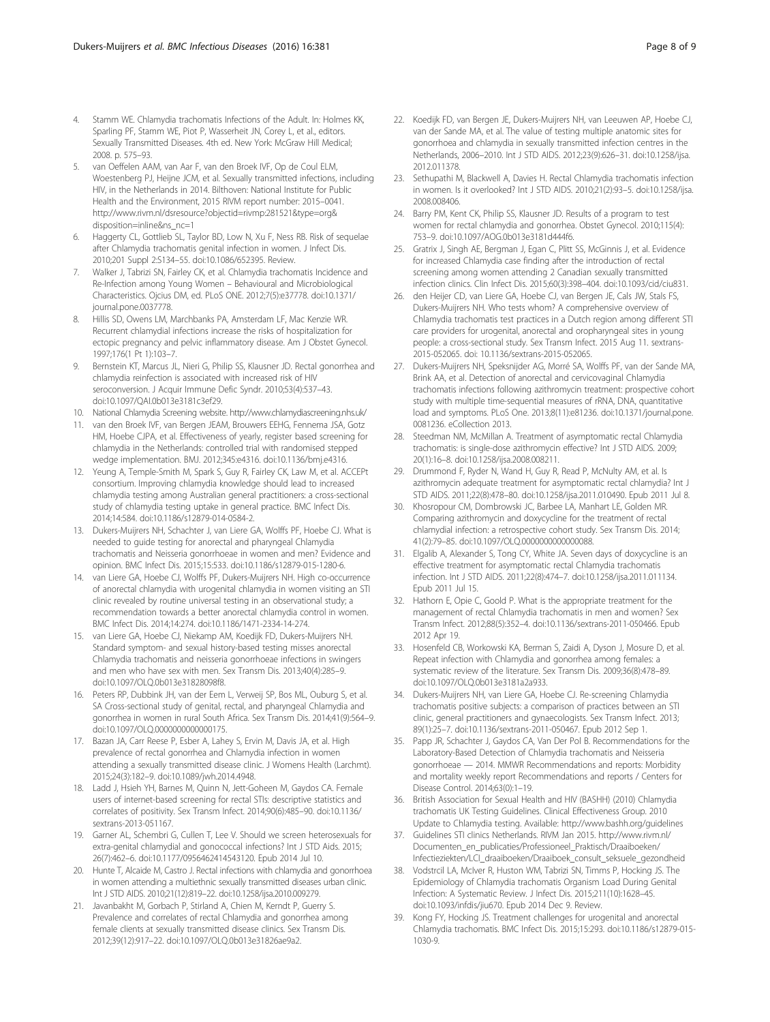- <span id="page-7-0"></span>4. Stamm WE. Chlamydia trachomatis Infections of the Adult. In: Holmes KK, Sparling PF, Stamm WE, Piot P, Wasserheit JN, Corey L, et al., editors. Sexually Transmitted Diseases. 4th ed. New York: McGraw Hill Medical; 2008. p. 575–93.
- 5. van Oeffelen AAM, van Aar F, van den Broek IVF, Op de Coul ELM, Woestenberg PJ, Heijne JCM, et al. Sexually transmitted infections, including HIV, in the Netherlands in 2014. Bilthoven: National Institute for Public Health and the Environment, 2015 RIVM report number: 2015–0041. [http://www.rivm.nl/dsresource?objectid=rivmp:281521&type=org&](http://www.rivm.nl/dsresource?objectid=rivmp:281521&type=org&disposition=inline&ns_nc=1) [disposition=inline&ns\\_nc=1](http://www.rivm.nl/dsresource?objectid=rivmp:281521&type=org&disposition=inline&ns_nc=1)
- 6. Haggerty CL, Gottlieb SL, Taylor BD, Low N, Xu F, Ness RB. Risk of sequelae after Chlamydia trachomatis genital infection in women. J Infect Dis. 2010;201 Suppl 2:S134–55. doi[:10.1086/652395.](http://dx.doi.org/10.1086/652395) Review.
- 7. Walker J, Tabrizi SN, Fairley CK, et al. Chlamydia trachomatis Incidence and Re-Infection among Young Women – Behavioural and Microbiological Characteristics. Ojcius DM, ed. PLoS ONE. 2012;7(5):e37778. doi[:10.1371/](http://dx.doi.org/10.1371/journal.pone.0037778) [journal.pone.0037778](http://dx.doi.org/10.1371/journal.pone.0037778).
- Hillis SD, Owens LM, Marchbanks PA, Amsterdam LF, Mac Kenzie WR. Recurrent chlamydial infections increase the risks of hospitalization for ectopic pregnancy and pelvic inflammatory disease. Am J Obstet Gynecol. 1997;176(1 Pt 1):103–7.
- 9. Bernstein KT, Marcus JL, Nieri G, Philip SS, Klausner JD. Rectal gonorrhea and chlamydia reinfection is associated with increased risk of HIV seroconversion. J Acquir Immune Defic Syndr. 2010;53(4):537–43. doi[:10.1097/QAI.0b013e3181c3ef29.](http://dx.doi.org/10.1097/QAI.0b013e3181c3ef29)
- 10. National Chlamydia Screening website.<http://www.chlamydiascreening.nhs.uk/>
- 11. van den Broek IVF, van Bergen JEAM, Brouwers EEHG, Fennema JSA, Gotz HM, Hoebe CJPA, et al. Effectiveness of yearly, register based screening for chlamydia in the Netherlands: controlled trial with randomised stepped wedge implementation. BMJ. 2012;345:e4316. doi[:10.1136/bmj.e4316.](http://dx.doi.org/10.1136/bmj.e4316)
- 12. Yeung A, Temple-Smith M, Spark S, Guy R, Fairley CK, Law M, et al. ACCEPt consortium. Improving chlamydia knowledge should lead to increased chlamydia testing among Australian general practitioners: a cross-sectional study of chlamydia testing uptake in general practice. BMC Infect Dis. 2014;14:584. doi[:10.1186/s12879-014-0584-2.](http://dx.doi.org/10.1186/s12879-014-0584-2)
- 13. Dukers-Muijrers NH, Schachter J, van Liere GA, Wolffs PF, Hoebe CJ. What is needed to guide testing for anorectal and pharyngeal Chlamydia trachomatis and Neisseria gonorrhoeae in women and men? Evidence and opinion. BMC Infect Dis. 2015;15:533. doi:[10.1186/s12879-015-1280-6](http://dx.doi.org/10.1186/s12879-015-1280-6).
- 14. van Liere GA, Hoebe CJ, Wolffs PF, Dukers-Muijrers NH. High co-occurrence of anorectal chlamydia with urogenital chlamydia in women visiting an STI clinic revealed by routine universal testing in an observational study; a recommendation towards a better anorectal chlamydia control in women. BMC Infect Dis. 2014;14:274. doi:[10.1186/1471-2334-14-274](http://dx.doi.org/10.1186/1471-2334-14-274).
- 15. van Liere GA, Hoebe CJ, Niekamp AM, Koedijk FD, Dukers-Muijrers NH. Standard symptom- and sexual history-based testing misses anorectal Chlamydia trachomatis and neisseria gonorrhoeae infections in swingers and men who have sex with men. Sex Transm Dis. 2013;40(4):285–9. doi[:10.1097/OLQ.0b013e31828098f8](http://dx.doi.org/10.1097/OLQ.0b013e31828098f8).
- 16. Peters RP, Dubbink JH, van der Eem L, Verweij SP, Bos ML, Ouburg S, et al. SA Cross-sectional study of genital, rectal, and pharyngeal Chlamydia and gonorrhea in women in rural South Africa. Sex Transm Dis. 2014;41(9):564–9. doi[:10.1097/OLQ.0000000000000175.](http://dx.doi.org/10.1097/OLQ.0000000000000175)
- 17. Bazan JA, Carr Reese P, Esber A, Lahey S, Ervin M, Davis JA, et al. High prevalence of rectal gonorrhea and Chlamydia infection in women attending a sexually transmitted disease clinic. J Womens Health (Larchmt). 2015;24(3):182–9. doi[:10.1089/jwh.2014.4948.](http://dx.doi.org/10.1089/jwh.2014.4948)
- 18. Ladd J, Hsieh YH, Barnes M, Quinn N, Jett-Goheen M, Gaydos CA. Female users of internet-based screening for rectal STIs: descriptive statistics and correlates of positivity. Sex Transm Infect. 2014;90(6):485–90. doi:[10.1136/](http://dx.doi.org/10.1136/sextrans-2013-051167) [sextrans-2013-051167.](http://dx.doi.org/10.1136/sextrans-2013-051167)
- 19. Garner AL, Schembri G, Cullen T, Lee V. Should we screen heterosexuals for extra-genital chlamydial and gonococcal infections? Int J STD Aids. 2015; 26(7):462–6. doi:[10.1177/0956462414543120](http://dx.doi.org/10.1177/0956462414543120). Epub 2014 Jul 10.
- 20. Hunte T, Alcaide M, Castro J. Rectal infections with chlamydia and gonorrhoea in women attending a multiethnic sexually transmitted diseases urban clinic. Int J STD AIDS. 2010;21(12):819–22. doi[:10.1258/ijsa.2010.009279.](http://dx.doi.org/10.1258/ijsa.2010.009279)
- 21. Javanbakht M, Gorbach P, Stirland A, Chien M, Kerndt P, Guerry S. Prevalence and correlates of rectal Chlamydia and gonorrhea among female clients at sexually transmitted disease clinics. Sex Transm Dis. 2012;39(12):917–22. doi[:10.1097/OLQ.0b013e31826ae9a2.](http://dx.doi.org/10.1097/OLQ.0b013e31826ae9a2)
- 22. Koedijk FD, van Bergen JE, Dukers-Muijrers NH, van Leeuwen AP, Hoebe CJ, van der Sande MA, et al. The value of testing multiple anatomic sites for gonorrhoea and chlamydia in sexually transmitted infection centres in the Netherlands, 2006–2010. Int J STD AIDS. 2012;23(9):626–31. doi:[10.1258/ijsa.](http://dx.doi.org/10.1258/ijsa.2012.011378) [2012.011378](http://dx.doi.org/10.1258/ijsa.2012.011378).
- 23. Sethupathi M, Blackwell A, Davies H. Rectal Chlamydia trachomatis infection in women. Is it overlooked? Int J STD AIDS. 2010;21(2):93–5. doi:[10.1258/ijsa.](http://dx.doi.org/10.1258/ijsa.2008.008406) [2008.008406](http://dx.doi.org/10.1258/ijsa.2008.008406).
- 24. Barry PM, Kent CK, Philip SS, Klausner JD. Results of a program to test women for rectal chlamydia and gonorrhea. Obstet Gynecol. 2010;115(4): 753–9. doi:[10.1097/AOG.0b013e3181d444f6](http://dx.doi.org/10.1097/AOG.0b013e3181d444f6).
- 25. Gratrix J, Singh AE, Bergman J, Egan C, Plitt SS, McGinnis J, et al. Evidence for increased Chlamydia case finding after the introduction of rectal screening among women attending 2 Canadian sexually transmitted infection clinics. Clin Infect Dis. 2015;60(3):398–404. doi:[10.1093/cid/ciu831](http://dx.doi.org/10.1093/cid/ciu831).
- 26. den Heijer CD, van Liere GA, Hoebe CJ, van Bergen JE, Cals JW, Stals FS, Dukers-Muijrers NH. Who tests whom? A comprehensive overview of Chlamydia trachomatis test practices in a Dutch region among different STI care providers for urogenital, anorectal and oropharyngeal sites in young people: a cross-sectional study. Sex Transm Infect. 2015 Aug 11. sextrans-2015-052065. doi: [10.1136/sextrans-2015-052065.](http://dx.doi.org/10.1136/sextrans-2015-052065)
- 27. Dukers-Muijrers NH, Speksnijder AG, Morré SA, Wolffs PF, van der Sande MA, Brink AA, et al. Detection of anorectal and cervicovaginal Chlamydia trachomatis infections following azithromycin treatment: prospective cohort study with multiple time-sequential measures of rRNA, DNA, quantitative load and symptoms. PLoS One. 2013;8(11):e81236. doi[:10.1371/journal.pone.](http://dx.doi.org/10.1371/journal.pone.0081236) [0081236.](http://dx.doi.org/10.1371/journal.pone.0081236) eCollection 2013.
- 28. Steedman NM, McMillan A. Treatment of asymptomatic rectal Chlamydia trachomatis: is single-dose azithromycin effective? Int J STD AIDS. 2009; 20(1):16–8. doi[:10.1258/ijsa.2008.008211.](http://dx.doi.org/10.1258/ijsa.2008.008211)
- 29. Drummond F, Ryder N, Wand H, Guy R, Read P, McNulty AM, et al. Is azithromycin adequate treatment for asymptomatic rectal chlamydia? Int J STD AIDS. 2011;22(8):478–80. doi[:10.1258/ijsa.2011.010490](http://dx.doi.org/10.1258/ijsa.2011.010490). Epub 2011 Jul 8.
- 30. Khosropour CM, Dombrowski JC, Barbee LA, Manhart LE, Golden MR. Comparing azithromycin and doxycycline for the treatment of rectal chlamydial infection: a retrospective cohort study. Sex Transm Dis. 2014; 41(2):79–85. doi:[10.1097/OLQ.0000000000000088](http://dx.doi.org/10.1097/OLQ.0000000000000088).
- 31. Elgalib A, Alexander S, Tong CY, White JA. Seven days of doxycycline is an effective treatment for asymptomatic rectal Chlamydia trachomatis infection. Int J STD AIDS. 2011;22(8):474–7. doi:[10.1258/ijsa.2011.011134](http://dx.doi.org/10.1258/ijsa.2011.011134). Epub 2011 Jul 15.
- 32. Hathorn E, Opie C, Goold P. What is the appropriate treatment for the management of rectal Chlamydia trachomatis in men and women? Sex Transm Infect. 2012;88(5):352–4. doi:[10.1136/sextrans-2011-050466.](http://dx.doi.org/10.1136/sextrans-2011-050466) Epub 2012 Apr 19.
- 33. Hosenfeld CB, Workowski KA, Berman S, Zaidi A, Dyson J, Mosure D, et al. Repeat infection with Chlamydia and gonorrhea among females: a systematic review of the literature. Sex Transm Dis. 2009;36(8):478–89. doi[:10.1097/OLQ.0b013e3181a2a933.](http://dx.doi.org/10.1097/OLQ.0b013e3181a2a933)
- 34. Dukers-Muijrers NH, van Liere GA, Hoebe CJ. Re-screening Chlamydia trachomatis positive subjects: a comparison of practices between an STI clinic, general practitioners and gynaecologists. Sex Transm Infect. 2013; 89(1):25–7. doi[:10.1136/sextrans-2011-050467.](http://dx.doi.org/10.1136/sextrans-2011-050467) Epub 2012 Sep 1.
- 35. Papp JR, Schachter J, Gaydos CA, Van Der Pol B. Recommendations for the Laboratory-Based Detection of Chlamydia trachomatis and Neisseria gonorrhoeae — 2014. MMWR Recommendations and reports: Morbidity and mortality weekly report Recommendations and reports / Centers for Disease Control. 2014;63(0):1–19.
- 36. British Association for Sexual Health and HIV (BASHH) (2010) Chlamydia trachomatis UK Testing Guidelines. Clinical Effectiveness Group. 2010 Update to Chlamydia testing. Available:<http://www.bashh.org/guidelines>
- 37. Guidelines STI clinics Netherlands. RIVM Jan 2015. [http://www.rivm.nl/](http://www.rivm.nl/Documenten_en_publicaties/Professioneel_Praktisch/Draaiboeken/Infectieziekten/LCI_draaiboeken/Draaiboek_consult_seksuele_gezondheid) [Documenten\\_en\\_publicaties/Professioneel\\_Praktisch/Draaiboeken/](http://www.rivm.nl/Documenten_en_publicaties/Professioneel_Praktisch/Draaiboeken/Infectieziekten/LCI_draaiboeken/Draaiboek_consult_seksuele_gezondheid) [Infectieziekten/LCI\\_draaiboeken/Draaiboek\\_consult\\_seksuele\\_gezondheid](http://www.rivm.nl/Documenten_en_publicaties/Professioneel_Praktisch/Draaiboeken/Infectieziekten/LCI_draaiboeken/Draaiboek_consult_seksuele_gezondheid)
- 38. Vodstrcil LA, McIver R, Huston WM, Tabrizi SN, Timms P, Hocking JS. The Epidemiology of Chlamydia trachomatis Organism Load During Genital Infection: A Systematic Review. J Infect Dis. 2015;211(10):1628–45. doi[:10.1093/infdis/jiu670.](http://dx.doi.org/10.1093/infdis/jiu670) Epub 2014 Dec 9. Review.
- 39. Kong FY, Hocking JS. Treatment challenges for urogenital and anorectal Chlamydia trachomatis. BMC Infect Dis. 2015;15:293. doi[:10.1186/s12879-015-](http://dx.doi.org/10.1186/s12879-015-1030-9) [1030-9.](http://dx.doi.org/10.1186/s12879-015-1030-9)